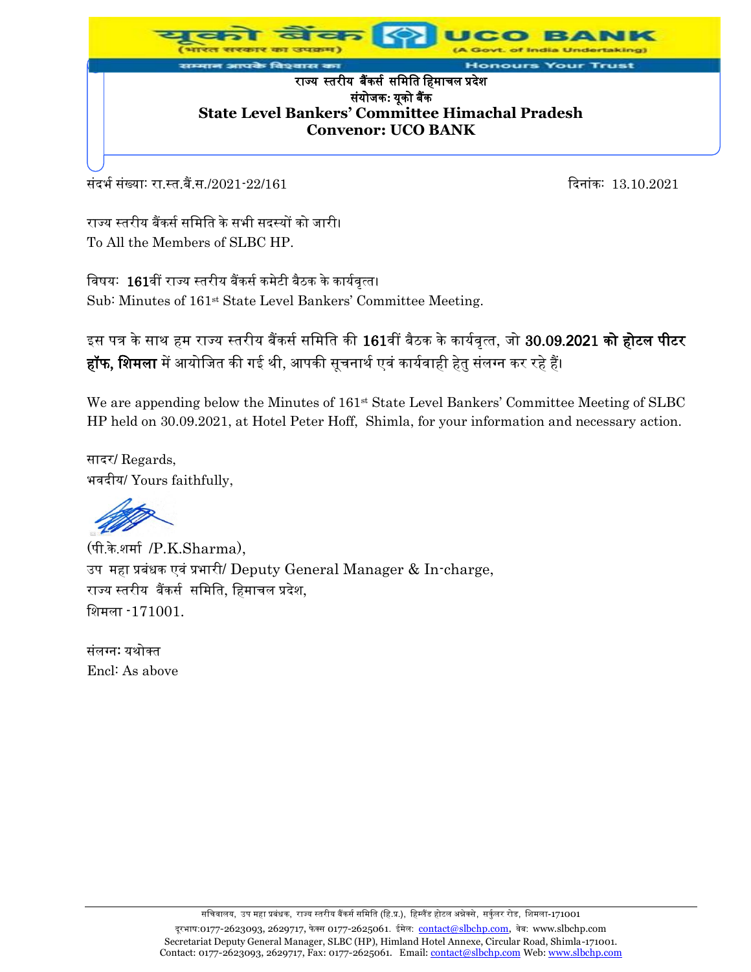

र्सदर्भ संख्याः रा.स्त.बैं.स./2021-22/161 दिनांकः 13.10.2021

राज्य स्तरीय बैंकर्स समिति के सभी सदस्यों को जारी। To All the Members of SLBC HP.

विषय: 161वीं राज्य स्तरीय बैंकर्स कमेटी बैठक के कार्यवृत्त। Sub: Minutes of 161<sup>st</sup> State Level Bankers' Committee Meeting.

इस पत्र के साथ हम राज्य स्तरीय बैंकर्स समिति की 161वीं बैठक के कार्यवृत्त, जो 30.09.2021 <mark>को होटल पीटर</mark> <mark>हॉफ, शिमला</mark> में आयोजित की गई थी, आपकी सूचनार्थ एवं कार्यवाही हेतु संलग्न कर रहे हैं।

We are appending below the Minutes of 161<sup>st</sup> State Level Bankers' Committee Meeting of SLBC HP held on 30.09.2021, at Hotel Peter Hoff, Shimla, for your information and necessary action.

सादर/ Regards, भवदीय/ Yours faithfully,

(पी.के.शिास /P.K.Sharma), उप महा प्रबंधक एवं प्रभारी/ Deputy General Manager & In-charge, राज्य स्तरीय बैंकर्स र्मिमत, मििाचल प्रदेश, मशिला -171001.

संलग्न: यथोक्त Encl: As above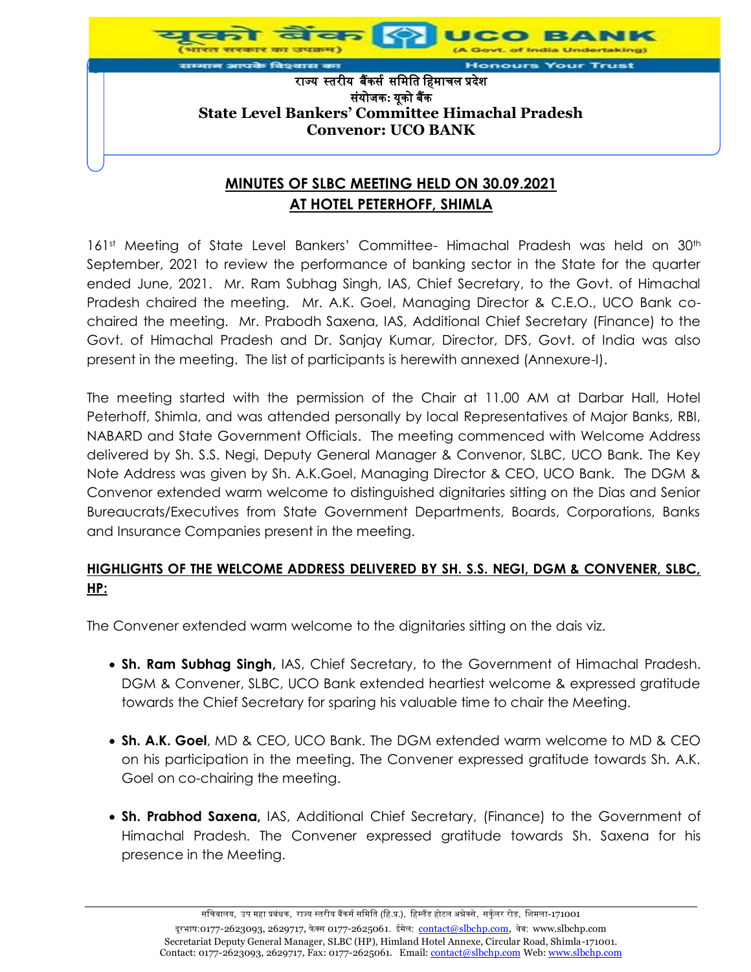

# **AT HOTEL PETERHOFF, SHIMLA**

161<sup>st</sup> Meeting of State Level Bankers' Committee- Himachal Pradesh was held on 30<sup>th</sup> September, 2021 to review the performance of banking sector in the State for the quarter ended June, 2021. Mr. Ram Subhag Singh, IAS, Chief Secretary, to the Govt. of Himachal Pradesh chaired the meeting. Mr. A.K. Goel, Managing Director & C.E.O., UCO Bank cochaired the meeting. Mr. Prabodh Saxena, IAS, Additional Chief Secretary (Finance) to the Govt. of Himachal Pradesh and Dr. Sanjay Kumar, Director, DFS, Govt. of India was also present in the meeting. The list of participants is herewith annexed (Annexure-I).

The meeting started with the permission of the Chair at 11.00 AM at Darbar Hall, Hotel Peterhoff, Shimla, and was attended personally by local Representatives of Major Banks, RBI, NABARD and State Government Officials. The meeting commenced with Welcome Address delivered by Sh. S.S. Negi, Deputy General Manager & Convenor, SLBC, UCO Bank. The Key Note Address was given by Sh. A.K.Goel, Managing Director & CEO, UCO Bank. The DGM & Convenor extended warm welcome to distinguished dignitaries sitting on the Dias and Senior Bureaucrats/Executives from State Government Departments, Boards, Corporations, Banks and Insurance Companies present in the meeting.

## **HIGHLIGHTS OF THE WELCOME ADDRESS DELIVERED BY SH. S.S. NEGI, DGM & CONVENER, SLBC, HP:**

The Convener extended warm welcome to the dignitaries sitting on the dais viz.

- **Sh. Ram Subhag Singh,** IAS, Chief Secretary, to the Government of Himachal Pradesh. DGM & Convener, SLBC, UCO Bank extended heartiest welcome & expressed gratitude towards the Chief Secretary for sparing his valuable time to chair the Meeting.
- **Sh. A.K. Goel**, MD & CEO, UCO Bank. The DGM extended warm welcome to MD & CEO on his participation in the meeting. The Convener expressed gratitude towards Sh. A.K. Goel on co-chairing the meeting.
- **Sh. Prabhod Saxena,** IAS, Additional Chief Secretary, (Finance) to the Government of Himachal Pradesh. The Convener expressed gratitude towards Sh. Saxena for his presence in the Meeting.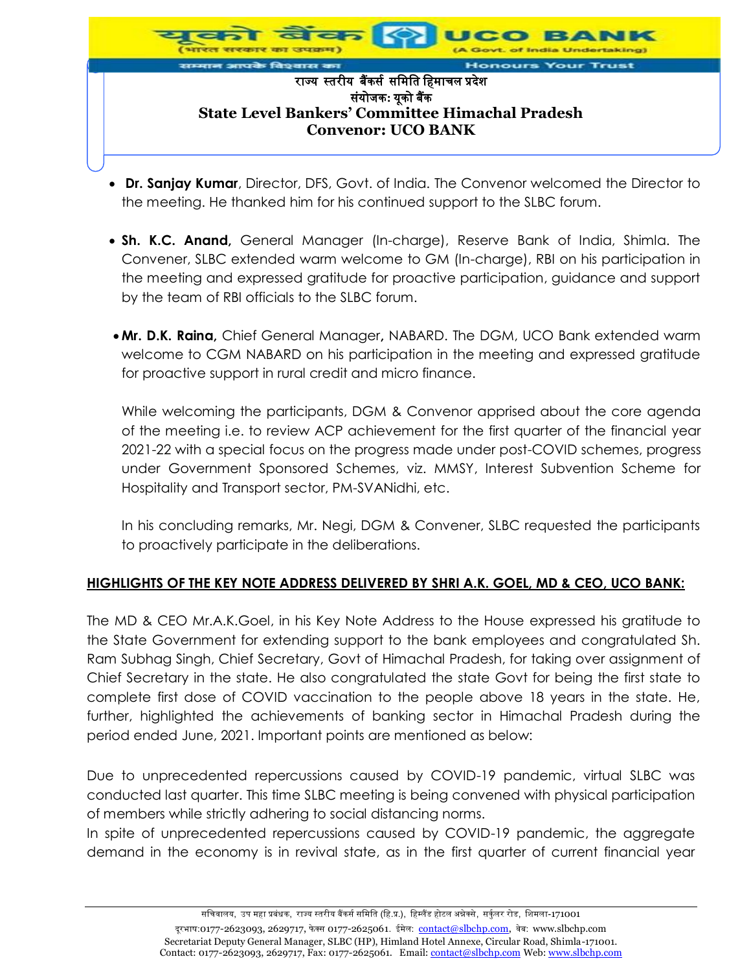

- **Dr. Sanjay Kumar**, Director, DFS, Govt. of India. The Convenor welcomed the Director to the meeting. He thanked him for his continued support to the SLBC forum.
- **Sh. K.C. Anand,** General Manager (In-charge), Reserve Bank of India, Shimla. The Convener, SLBC extended warm welcome to GM (In-charge), RBI on his participation in the meeting and expressed gratitude for proactive participation, guidance and support by the team of RBI officials to the SLBC forum.
- **Mr. D.K. Raina,** Chief General Manager**,** NABARD. The DGM, UCO Bank extended warm welcome to CGM NABARD on his participation in the meeting and expressed gratitude for proactive support in rural credit and micro finance.

While welcoming the participants, DGM & Convenor apprised about the core agenda of the meeting i.e. to review ACP achievement for the first quarter of the financial year 2021-22 with a special focus on the progress made under post-COVID schemes, progress under Government Sponsored Schemes, viz. MMSY, Interest Subvention Scheme for Hospitality and Transport sector, PM-SVANidhi, etc.

In his concluding remarks, Mr. Negi, DGM & Convener, SLBC requested the participants to proactively participate in the deliberations.

## **HIGHLIGHTS OF THE KEY NOTE ADDRESS DELIVERED BY SHRI A.K. GOEL, MD & CEO, UCO BANK:**

The MD & CEO Mr.A.K.Goel, in his Key Note Address to the House expressed his gratitude to the State Government for extending support to the bank employees and congratulated Sh. Ram Subhag Singh, Chief Secretary, Govt of Himachal Pradesh, for taking over assignment of Chief Secretary in the state. He also congratulated the state Govt for being the first state to complete first dose of COVID vaccination to the people above 18 years in the state. He, further, highlighted the achievements of banking sector in Himachal Pradesh during the period ended June, 2021. Important points are mentioned as below:

Due to unprecedented repercussions caused by COVID-19 pandemic, virtual SLBC was conducted last quarter. This time SLBC meeting is being convened with physical participation of members while strictly adhering to social distancing norms.

In spite of unprecedented repercussions caused by COVID-19 pandemic, the aggregate demand in the economy is in revival state, as in the first quarter of current financial year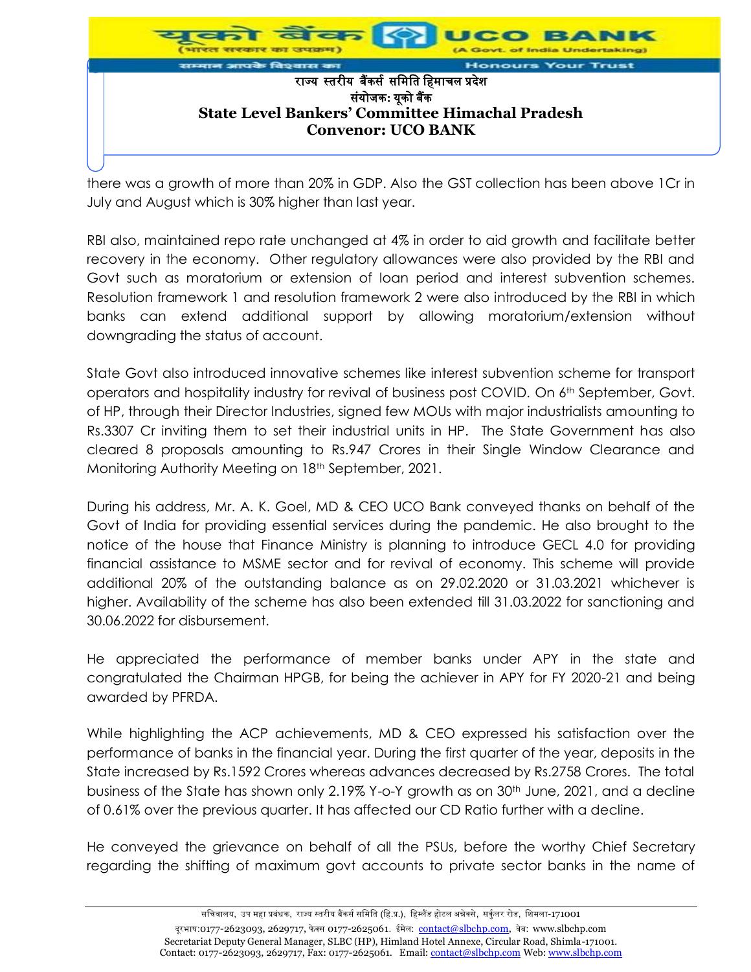

there was a growth of more than 20% in GDP. Also the GST collection has been above 1Cr in July and August which is 30% higher than last year.

RBI also, maintained repo rate unchanged at 4% in order to aid growth and facilitate better recovery in the economy. Other regulatory allowances were also provided by the RBI and Govt such as moratorium or extension of loan period and interest subvention schemes. Resolution framework 1 and resolution framework 2 were also introduced by the RBI in which banks can extend additional support by allowing moratorium/extension without downgrading the status of account.

State Govt also introduced innovative schemes like interest subvention scheme for transport operators and hospitality industry for revival of business post COVID. On 6<sup>th</sup> September, Govt. of HP, through their Director Industries, signed few MOUs with major industrialists amounting to Rs.3307 Cr inviting them to set their industrial units in HP. The State Government has also cleared 8 proposals amounting to Rs.947 Crores in their Single Window Clearance and Monitoring Authority Meeting on 18<sup>th</sup> September, 2021.

During his address, Mr. A. K. Goel, MD & CEO UCO Bank conveyed thanks on behalf of the Govt of India for providing essential services during the pandemic. He also brought to the notice of the house that Finance Ministry is planning to introduce GECL 4.0 for providing financial assistance to MSME sector and for revival of economy. This scheme will provide additional 20% of the outstanding balance as on 29.02.2020 or 31.03.2021 whichever is higher. Availability of the scheme has also been extended till 31.03.2022 for sanctioning and 30.06.2022 for disbursement.

He appreciated the performance of member banks under APY in the state and congratulated the Chairman HPGB, for being the achiever in APY for FY 2020-21 and being awarded by PFRDA.

While highlighting the ACP achievements, MD & CEO expressed his satisfaction over the performance of banks in the financial year. During the first quarter of the year, deposits in the State increased by Rs.1592 Crores whereas advances decreased by Rs.2758 Crores. The total business of the State has shown only 2.19% Y-o-Y growth as on 30<sup>th</sup> June, 2021, and a decline of 0.61% over the previous quarter. It has affected our CD Ratio further with a decline.

He conveyed the grievance on behalf of all the PSUs, before the worthy Chief Secretary regarding the shifting of maximum govt accounts to private sector banks in the name of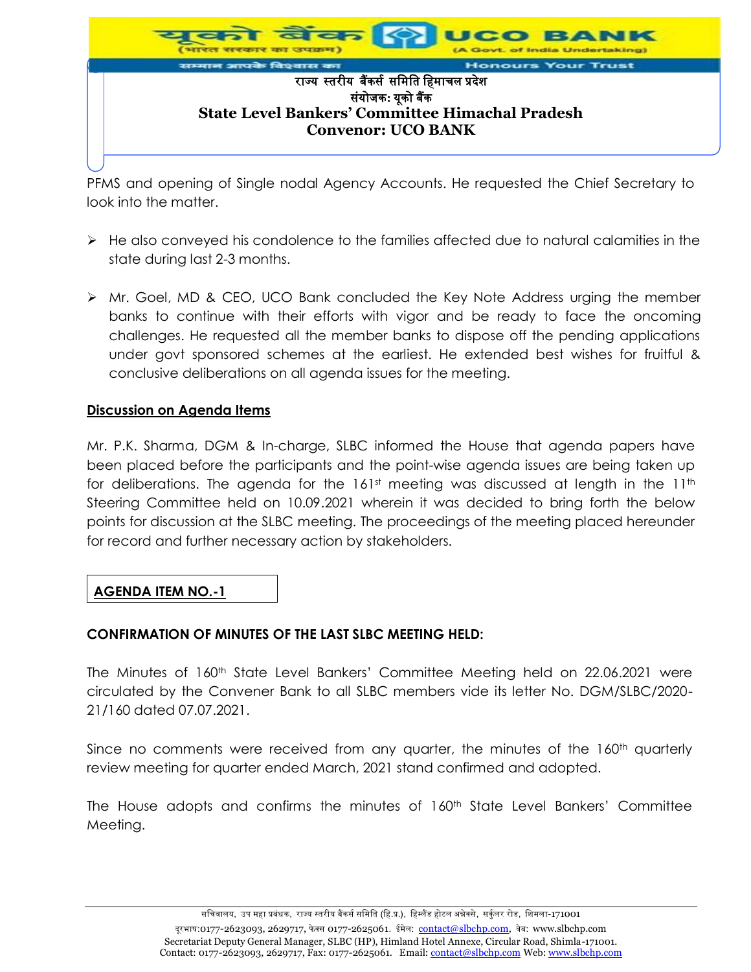

PFMS and opening of Single nodal Agency Accounts. He requested the Chief Secretary to look into the matter.

- $\triangleright$  He also conveyed his condolence to the families affected due to natural calamities in the state during last 2-3 months.
- Mr. Goel, MD & CEO, UCO Bank concluded the Key Note Address urging the member banks to continue with their efforts with vigor and be ready to face the oncoming challenges. He requested all the member banks to dispose off the pending applications under govt sponsored schemes at the earliest. He extended best wishes for fruitful & conclusive deliberations on all agenda issues for the meeting.

#### **Discussion on Agenda Items**

Mr. P.K. Sharma, DGM & In-charge, SLBC informed the House that agenda papers have been placed before the participants and the point-wise agenda issues are being taken up for deliberations. The agenda for the  $161<sup>st</sup>$  meeting was discussed at length in the  $11<sup>th</sup>$ Steering Committee held on 10.09.2021 wherein it was decided to bring forth the below points for discussion at the SLBC meeting. The proceedings of the meeting placed hereunder for record and further necessary action by stakeholders.

## **AGENDA ITEM NO.-1**

#### **CONFIRMATION OF MINUTES OF THE LAST SLBC MEETING HELD:**

The Minutes of 160<sup>th</sup> State Level Bankers' Committee Meeting held on 22.06.2021 were circulated by the Convener Bank to all SLBC members vide its letter No. DGM/SLBC/2020- 21/160 dated 07.07.2021.

Since no comments were received from any quarter, the minutes of the 160<sup>th</sup> quarterly review meeting for quarter ended March, 2021 stand confirmed and adopted.

The House adopts and confirms the minutes of 160<sup>th</sup> State Level Bankers' Committee Meeting.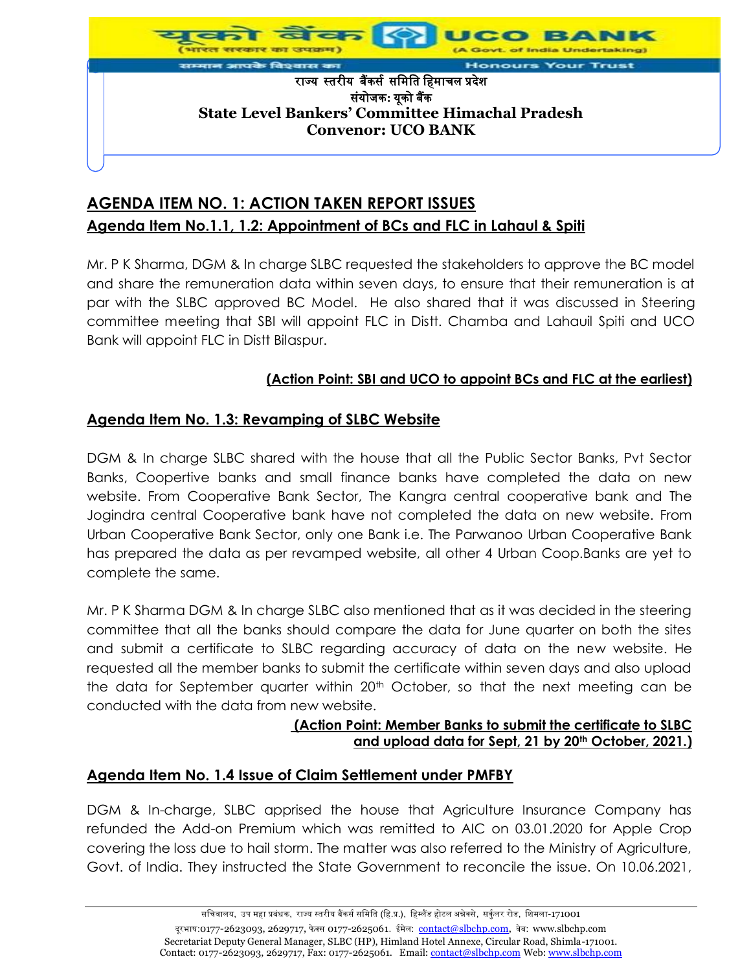

# **AGENDA ITEM NO. 1: ACTION TAKEN REPORT ISSUES Agenda Item No.1.1, 1.2: Appointment of BCs and FLC in Lahaul & Spiti**

Mr. P K Sharma, DGM & In charge SLBC requested the stakeholders to approve the BC model and share the remuneration data within seven days, to ensure that their remuneration is at par with the SLBC approved BC Model. He also shared that it was discussed in Steering committee meeting that SBI will appoint FLC in Distt. Chamba and Lahauil Spiti and UCO Bank will appoint FLC in Distt Bilaspur.

# **(Action Point: SBI and UCO to appoint BCs and FLC at the earliest)**

## **Agenda Item No. 1.3: Revamping of SLBC Website**

DGM & In charge SLBC shared with the house that all the Public Sector Banks, Pvt Sector Banks, Coopertive banks and small finance banks have completed the data on new website. From Cooperative Bank Sector, The Kangra central cooperative bank and The Jogindra central Cooperative bank have not completed the data on new website. From Urban Cooperative Bank Sector, only one Bank i.e. The Parwanoo Urban Cooperative Bank has prepared the data as per revamped website, all other 4 Urban Coop.Banks are yet to complete the same.

Mr. P K Sharma DGM & In charge SLBC also mentioned that as it was decided in the steering committee that all the banks should compare the data for June quarter on both the sites and submit a certificate to SLBC regarding accuracy of data on the new website. He requested all the member banks to submit the certificate within seven days and also upload the data for September quarter within 20<sup>th</sup> October, so that the next meeting can be conducted with the data from new website.

#### **(Action Point: Member Banks to submit the certificate to SLBC and upload data for Sept, 21 by 20th October, 2021.)**

## **Agenda Item No. 1.4 Issue of Claim Settlement under PMFBY**

DGM & In-charge, SLBC apprised the house that Agriculture Insurance Company has refunded the Add-on Premium which was remitted to AIC on 03.01.2020 for Apple Crop covering the loss due to hail storm. The matter was also referred to the Ministry of Agriculture, Govt. of India. They instructed the State Government to reconcile the issue. On 10.06.2021,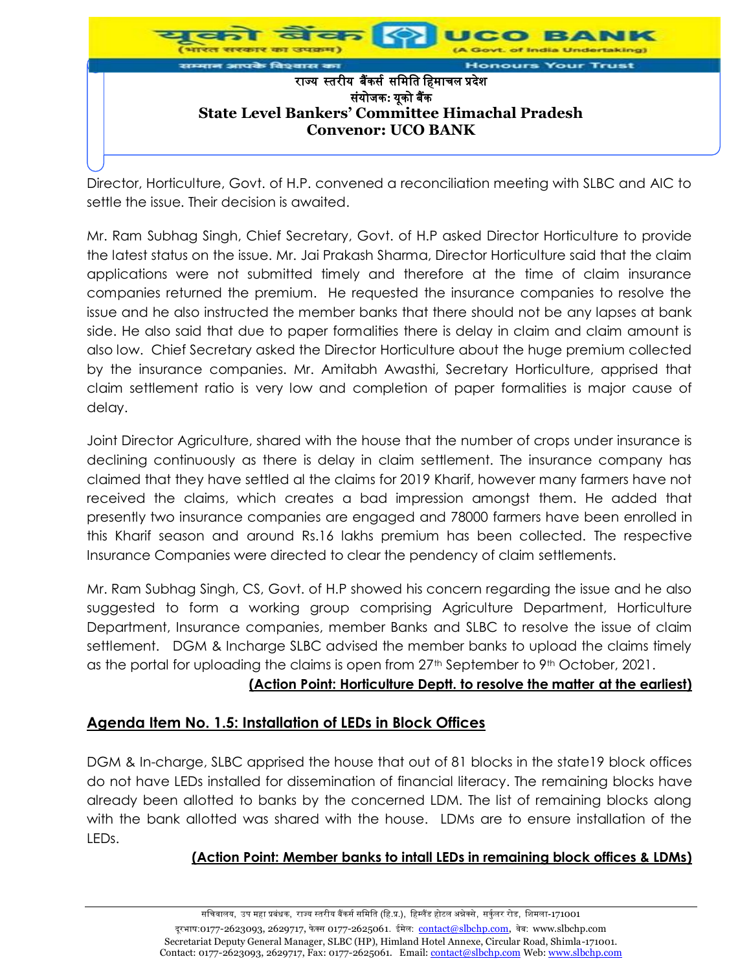

Director, Horticulture, Govt. of H.P. convened a reconciliation meeting with SLBC and AIC to settle the issue. Their decision is awaited.

Mr. Ram Subhag Singh, Chief Secretary, Govt. of H.P asked Director Horticulture to provide the latest status on the issue. Mr. Jai Prakash Sharma, Director Horticulture said that the claim applications were not submitted timely and therefore at the time of claim insurance companies returned the premium. He requested the insurance companies to resolve the issue and he also instructed the member banks that there should not be any lapses at bank side. He also said that due to paper formalities there is delay in claim and claim amount is also low. Chief Secretary asked the Director Horticulture about the huge premium collected by the insurance companies. Mr. Amitabh Awasthi, Secretary Horticulture, apprised that claim settlement ratio is very low and completion of paper formalities is major cause of delay.

Joint Director Agriculture, shared with the house that the number of crops under insurance is declining continuously as there is delay in claim settlement. The insurance company has claimed that they have settled al the claims for 2019 Kharif, however many farmers have not received the claims, which creates a bad impression amongst them. He added that presently two insurance companies are engaged and 78000 farmers have been enrolled in this Kharif season and around Rs.16 lakhs premium has been collected. The respective Insurance Companies were directed to clear the pendency of claim settlements.

Mr. Ram Subhag Singh, CS, Govt. of H.P showed his concern regarding the issue and he also suggested to form a working group comprising Agriculture Department, Horticulture Department, Insurance companies, member Banks and SLBC to resolve the issue of claim settlement. DGM & Incharge SLBC advised the member banks to upload the claims timely as the portal for uploading the claims is open from  $27<sup>th</sup>$  September to  $9<sup>th</sup>$  October, 2021.

#### **(Action Point: Horticulture Deptt. to resolve the matter at the earliest)**

## **Agenda Item No. 1.5: Installation of LEDs in Block Offices**

DGM & In-charge, SLBC apprised the house that out of 81 blocks in the state19 block offices do not have LEDs installed for dissemination of financial literacy. The remaining blocks have already been allotted to banks by the concerned LDM. The list of remaining blocks along with the bank allotted was shared with the house. LDMs are to ensure installation of the LEDs.

## **(Action Point: Member banks to intall LEDs in remaining block offices & LDMs)**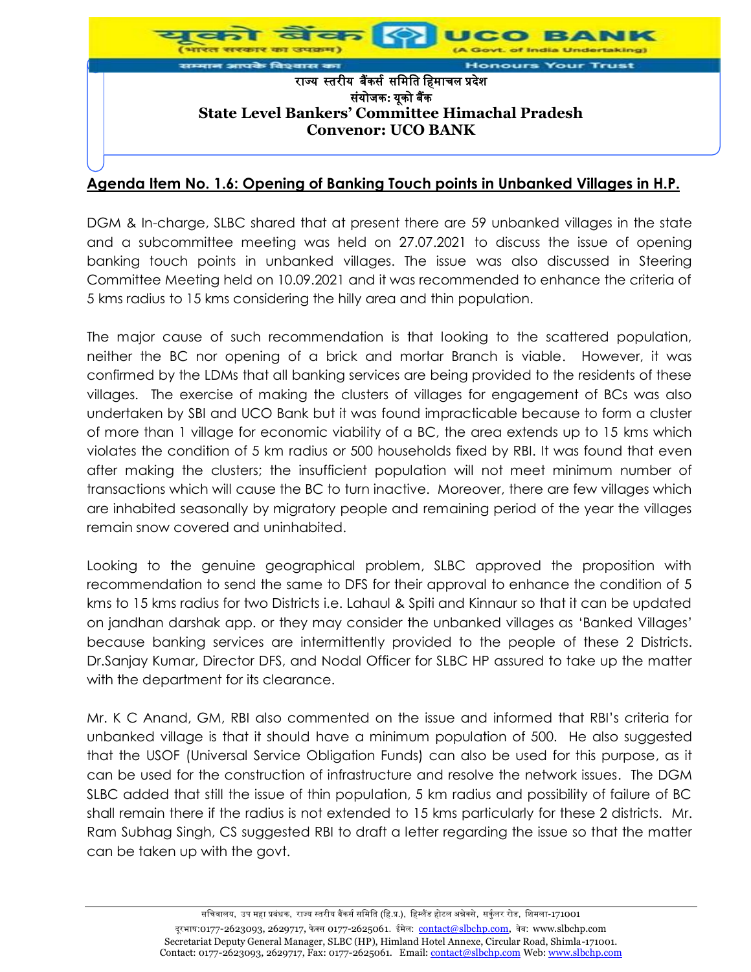

# **Agenda Item No. 1.6: Opening of Banking Touch points in Unbanked Villages in H.P.**

DGM & In-charge, SLBC shared that at present there are 59 unbanked villages in the state and a subcommittee meeting was held on 27.07.2021 to discuss the issue of opening banking touch points in unbanked villages. The issue was also discussed in Steering Committee Meeting held on 10.09.2021 and it was recommended to enhance the criteria of 5 kms radius to 15 kms considering the hilly area and thin population.

The major cause of such recommendation is that looking to the scattered population, neither the BC nor opening of a brick and mortar Branch is viable. However, it was confirmed by the LDMs that all banking services are being provided to the residents of these villages. The exercise of making the clusters of villages for engagement of BCs was also undertaken by SBI and UCO Bank but it was found impracticable because to form a cluster of more than 1 village for economic viability of a BC, the area extends up to 15 kms which violates the condition of 5 km radius or 500 households fixed by RBI. It was found that even after making the clusters; the insufficient population will not meet minimum number of transactions which will cause the BC to turn inactive. Moreover, there are few villages which are inhabited seasonally by migratory people and remaining period of the year the villages remain snow covered and uninhabited.

Looking to the genuine geographical problem, SLBC approved the proposition with recommendation to send the same to DFS for their approval to enhance the condition of 5 kms to 15 kms radius for two Districts i.e. Lahaul & Spiti and Kinnaur so that it can be updated on jandhan darshak app. or they may consider the unbanked villages as 'Banked Villages' because banking services are intermittently provided to the people of these 2 Districts. Dr.Sanjay Kumar, Director DFS, and Nodal Officer for SLBC HP assured to take up the matter with the department for its clearance.

Mr. K C Anand, GM, RBI also commented on the issue and informed that RBI's criteria for unbanked village is that it should have a minimum population of 500. He also suggested that the USOF (Universal Service Obligation Funds) can also be used for this purpose, as it can be used for the construction of infrastructure and resolve the network issues. The DGM SLBC added that still the issue of thin population, 5 km radius and possibility of failure of BC shall remain there if the radius is not extended to 15 kms particularly for these 2 districts. Mr. Ram Subhag Singh, CS suggested RBI to draft a letter regarding the issue so that the matter can be taken up with the govt.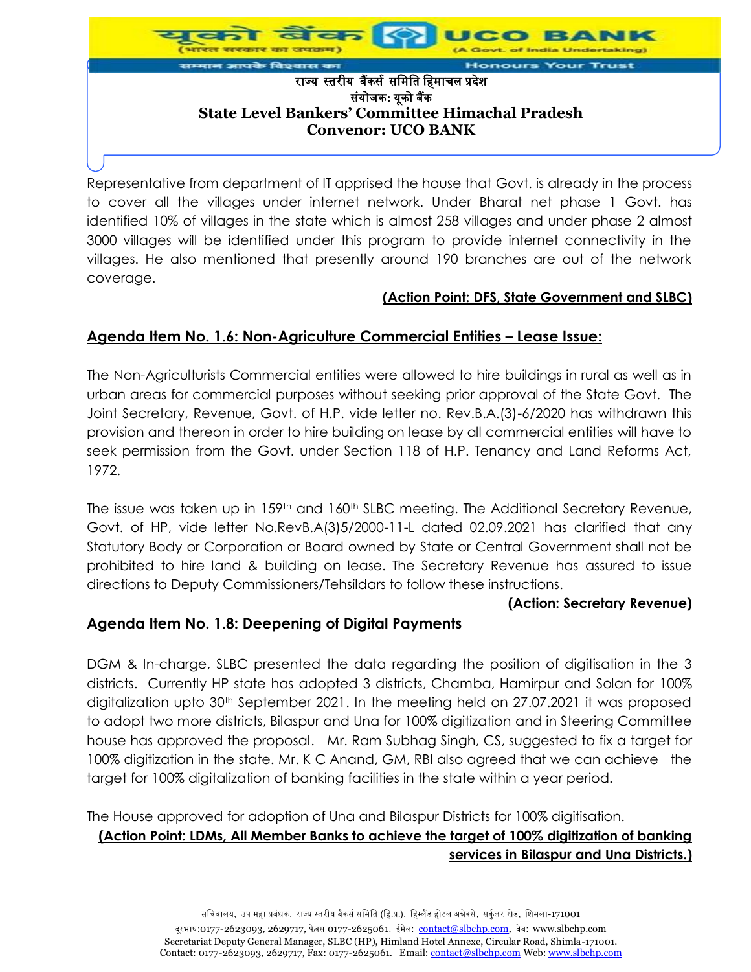

Representative from department of IT apprised the house that Govt. is already in the process to cover all the villages under internet network. Under Bharat net phase 1 Govt. has identified 10% of villages in the state which is almost 258 villages and under phase 2 almost 3000 villages will be identified under this program to provide internet connectivity in the villages. He also mentioned that presently around 190 branches are out of the network coverage.

## **(Action Point: DFS, State Government and SLBC)**

# **Agenda Item No. 1.6: Non-Agriculture Commercial Entities – Lease Issue:**

The Non-Agriculturists Commercial entities were allowed to hire buildings in rural as well as in urban areas for commercial purposes without seeking prior approval of the State Govt. The Joint Secretary, Revenue, Govt. of H.P. vide letter no. Rev.B.A.(3)-6/2020 has withdrawn this provision and thereon in order to hire building on lease by all commercial entities will have to seek permission from the Govt. under Section 118 of H.P. Tenancy and Land Reforms Act, 1972.

The issue was taken up in 159<sup>th</sup> and 160<sup>th</sup> SLBC meeting. The Additional Secretary Revenue, Govt. of HP, vide letter No.RevB.A(3)5/2000-11-L dated 02.09.2021 has clarified that any Statutory Body or Corporation or Board owned by State or Central Government shall not be prohibited to hire land & building on lease. The Secretary Revenue has assured to issue directions to Deputy Commissioners/Tehsildars to follow these instructions.

#### **(Action: Secretary Revenue)**

## **Agenda Item No. 1.8: Deepening of Digital Payments**

DGM & In-charge, SLBC presented the data regarding the position of digitisation in the 3 districts. Currently HP state has adopted 3 districts, Chamba, Hamirpur and Solan for 100% digitalization upto 30<sup>th</sup> September 2021. In the meeting held on 27.07.2021 it was proposed to adopt two more districts, Bilaspur and Una for 100% digitization and in Steering Committee house has approved the proposal. Mr. Ram Subhag Singh, CS, suggested to fix a target for 100% digitization in the state. Mr. K C Anand, GM, RBI also agreed that we can achieve the target for 100% digitalization of banking facilities in the state within a year period.

The House approved for adoption of Una and Bilaspur Districts for 100% digitisation.

# **(Action Point: LDMs, All Member Banks to achieve the target of 100% digitization of banking services in Bilaspur and Una Districts.)**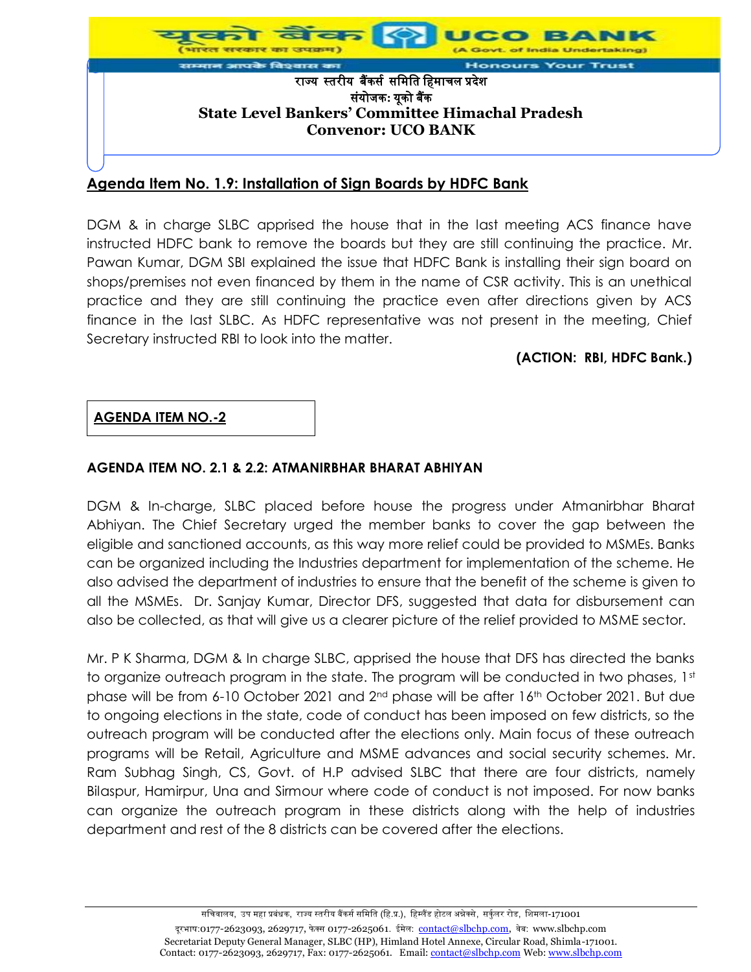

# **Agenda Item No. 1.9: Installation of Sign Boards by HDFC Bank**

DGM & in charge SLBC apprised the house that in the last meeting ACS finance have instructed HDFC bank to remove the boards but they are still continuing the practice. Mr. Pawan Kumar, DGM SBI explained the issue that HDFC Bank is installing their sign board on shops/premises not even financed by them in the name of CSR activity. This is an unethical practice and they are still continuing the practice even after directions given by ACS finance in the last SLBC. As HDFC representative was not present in the meeting, Chief Secretary instructed RBI to look into the matter.

#### **(ACTION: RBI, HDFC Bank.)**

#### **AGENDA ITEM NO.-2**

#### **AGENDA ITEM NO. 2.1 & 2.2: ATMANIRBHAR BHARAT ABHIYAN**

DGM & In-charge, SLBC placed before house the progress under Atmanirbhar Bharat Abhiyan. The Chief Secretary urged the member banks to cover the gap between the eligible and sanctioned accounts, as this way more relief could be provided to MSMEs. Banks can be organized including the Industries department for implementation of the scheme. He also advised the department of industries to ensure that the benefit of the scheme is given to all the MSMEs. Dr. Sanjay Kumar, Director DFS, suggested that data for disbursement can also be collected, as that will give us a clearer picture of the relief provided to MSME sector.

Mr. P K Sharma, DGM & In charge SLBC, apprised the house that DFS has directed the banks to organize outreach program in the state. The program will be conducted in two phases,  $1<sup>st</sup>$ phase will be from 6-10 October 2021 and 2nd phase will be after 16th October 2021. But due to ongoing elections in the state, code of conduct has been imposed on few districts, so the outreach program will be conducted after the elections only. Main focus of these outreach programs will be Retail, Agriculture and MSME advances and social security schemes. Mr. Ram Subhag Singh, CS, Govt. of H.P advised SLBC that there are four districts, namely Bilaspur, Hamirpur, Una and Sirmour where code of conduct is not imposed. For now banks can organize the outreach program in these districts along with the help of industries department and rest of the 8 districts can be covered after the elections.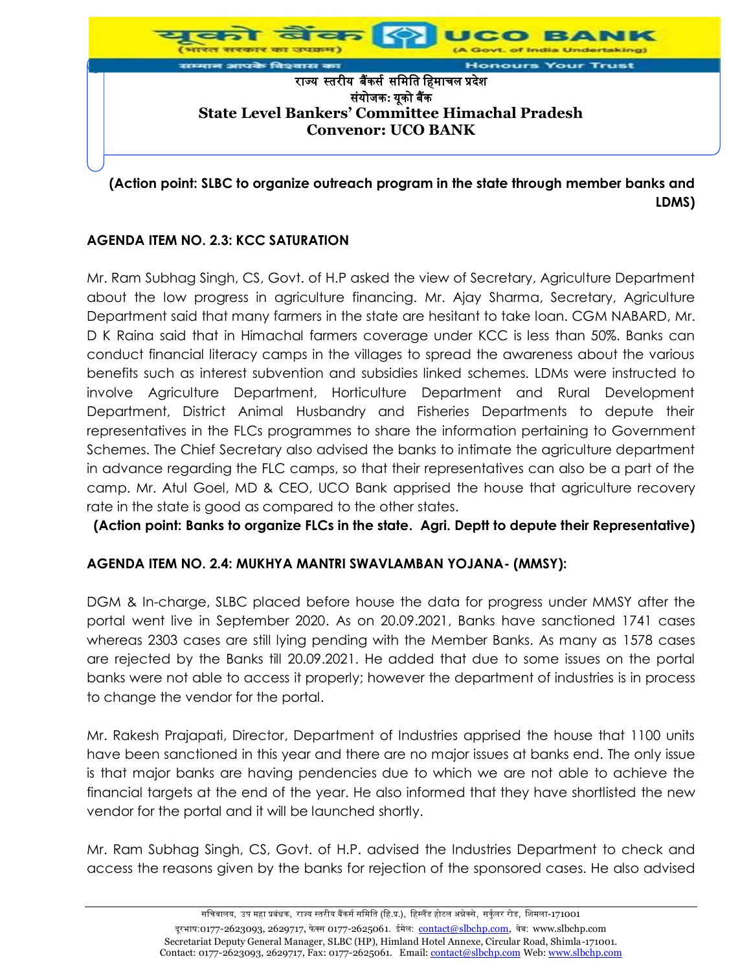

**(Action point: SLBC to organize outreach program in the state through member banks and LDMS)**

## **AGENDA ITEM NO. 2.3: KCC SATURATION**

Mr. Ram Subhag Singh, CS, Govt. of H.P asked the view of Secretary, Agriculture Department about the low progress in agriculture financing. Mr. Ajay Sharma, Secretary, Agriculture Department said that many farmers in the state are hesitant to take loan. CGM NABARD, Mr. D K Raina said that in Himachal farmers coverage under KCC is less than 50%. Banks can conduct financial literacy camps in the villages to spread the awareness about the various benefits such as interest subvention and subsidies linked schemes. LDMs were instructed to involve Agriculture Department, Horticulture Department and Rural Development Department, District Animal Husbandry and Fisheries Departments to depute their representatives in the FLCs programmes to share the information pertaining to Government Schemes. The Chief Secretary also advised the banks to intimate the agriculture department in advance regarding the FLC camps, so that their representatives can also be a part of the camp. Mr. Atul Goel, MD & CEO, UCO Bank apprised the house that agriculture recovery rate in the state is good as compared to the other states.

**(Action point: Banks to organize FLCs in the state. Agri. Deptt to depute their Representative)**

## **AGENDA ITEM NO. 2.4: MUKHYA MANTRI SWAVLAMBAN YOJANA- (MMSY):**

DGM & In-charge, SLBC placed before house the data for progress under MMSY after the portal went live in September 2020. As on 20.09.2021, Banks have sanctioned 1741 cases whereas 2303 cases are still lying pending with the Member Banks. As many as 1578 cases are rejected by the Banks till 20.09.2021. He added that due to some issues on the portal banks were not able to access it properly; however the department of industries is in process to change the vendor for the portal.

Mr. Rakesh Prajapati, Director, Department of Industries apprised the house that 1100 units have been sanctioned in this year and there are no major issues at banks end. The only issue is that major banks are having pendencies due to which we are not able to achieve the financial targets at the end of the year. He also informed that they have shortlisted the new vendor for the portal and it will be launched shortly.

Mr. Ram Subhag Singh, CS, Govt. of H.P. advised the Industries Department to check and access the reasons given by the banks for rejection of the sponsored cases. He also advised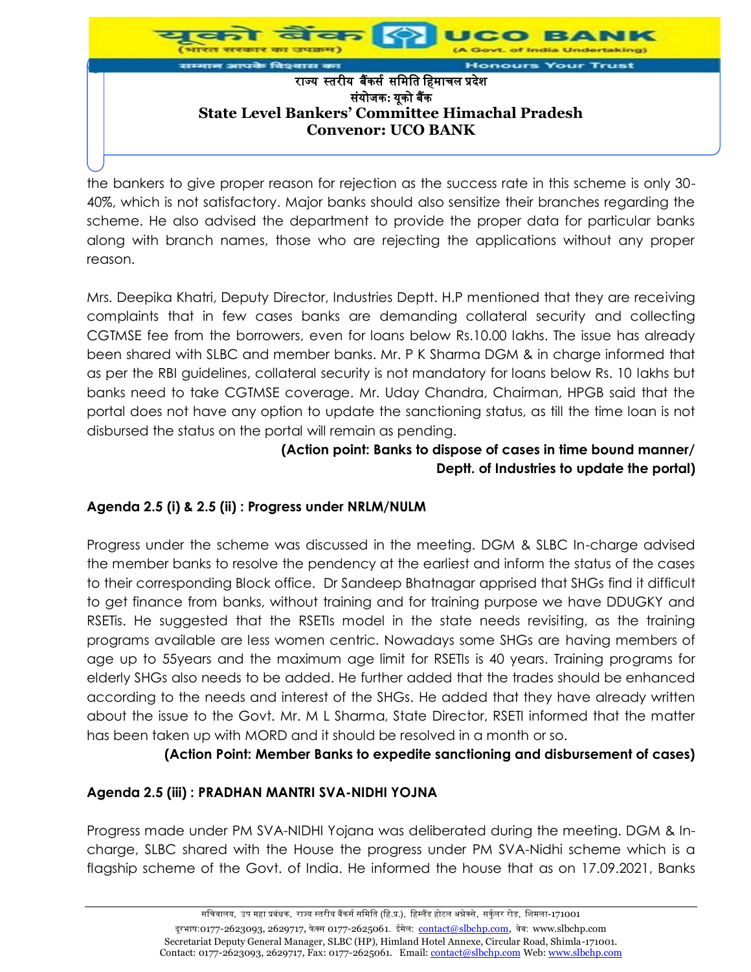

the bankers to give proper reason for rejection as the success rate in this scheme is only 30- 40%, which is not satisfactory. Major banks should also sensitize their branches regarding the scheme. He also advised the department to provide the proper data for particular banks along with branch names, those who are rejecting the applications without any proper reason.

Mrs. Deepika Khatri, Deputy Director, Industries Deptt. H.P mentioned that they are receiving complaints that in few cases banks are demanding collateral security and collecting CGTMSE fee from the borrowers, even for loans below Rs.10.00 lakhs. The issue has already been shared with SLBC and member banks. Mr. P K Sharma DGM & in charge informed that as per the RBI guidelines, collateral security is not mandatory for loans below Rs. 10 lakhs but banks need to take CGTMSE coverage. Mr. Uday Chandra, Chairman, HPGB said that the portal does not have any option to update the sanctioning status, as till the time loan is not disbursed the status on the portal will remain as pending.

## **(Action point: Banks to dispose of cases in time bound manner/ Deptt. of Industries to update the portal)**

## **Agenda 2.5 (i) & 2.5 (ii) : Progress under NRLM/NULM**

Progress under the scheme was discussed in the meeting. DGM & SLBC In-charge advised the member banks to resolve the pendency at the earliest and inform the status of the cases to their corresponding Block office. Dr Sandeep Bhatnagar apprised that SHGs find it difficult to get finance from banks, without training and for training purpose we have DDUGKY and RSETis. He suggested that the RSETIs model in the state needs revisiting, as the training programs available are less women centric. Nowadays some SHGs are having members of age up to 55years and the maximum age limit for RSETIs is 40 years. Training programs for elderly SHGs also needs to be added. He further added that the trades should be enhanced according to the needs and interest of the SHGs. He added that they have already written about the issue to the Govt. Mr. M L Sharma, State Director, RSETI informed that the matter has been taken up with MORD and it should be resolved in a month or so.

**(Action Point: Member Banks to expedite sanctioning and disbursement of cases)**

## **Agenda 2.5 (iii) : PRADHAN MANTRI SVA-NIDHI YOJNA**

Progress made under PM SVA-NIDHI Yojana was deliberated during the meeting. DGM & Incharge, SLBC shared with the House the progress under PM SVA-Nidhi scheme which is a flagship scheme of the Govt. of India. He informed the house that as on 17.09.2021, Banks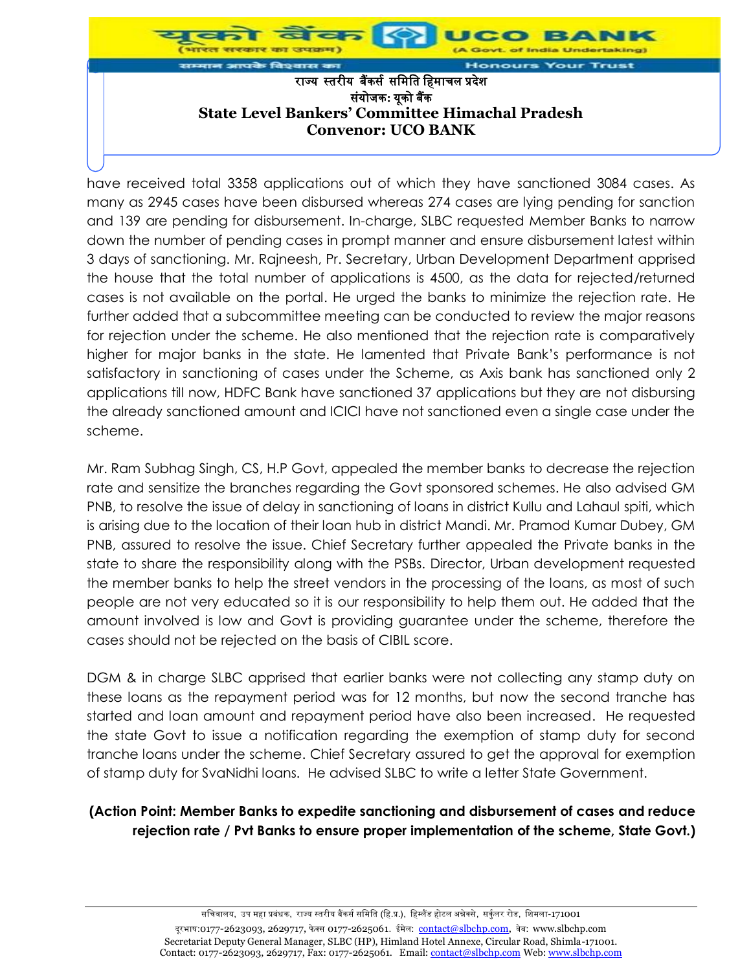

have received total 3358 applications out of which they have sanctioned 3084 cases. As many as 2945 cases have been disbursed whereas 274 cases are lying pending for sanction and 139 are pending for disbursement. In-charge, SLBC requested Member Banks to narrow down the number of pending cases in prompt manner and ensure disbursement latest within 3 days of sanctioning. Mr. Rajneesh, Pr. Secretary, Urban Development Department apprised the house that the total number of applications is 4500, as the data for rejected/returned cases is not available on the portal. He urged the banks to minimize the rejection rate. He further added that a subcommittee meeting can be conducted to review the major reasons for rejection under the scheme. He also mentioned that the rejection rate is comparatively higher for major banks in the state. He lamented that Private Bank's performance is not satisfactory in sanctioning of cases under the Scheme, as Axis bank has sanctioned only 2 applications till now, HDFC Bank have sanctioned 37 applications but they are not disbursing the already sanctioned amount and ICICI have not sanctioned even a single case under the scheme.

Mr. Ram Subhag Singh, CS, H.P Govt, appealed the member banks to decrease the rejection rate and sensitize the branches regarding the Govt sponsored schemes. He also advised GM PNB, to resolve the issue of delay in sanctioning of loans in district Kullu and Lahaul spiti, which is arising due to the location of their loan hub in district Mandi. Mr. Pramod Kumar Dubey, GM PNB, assured to resolve the issue. Chief Secretary further appealed the Private banks in the state to share the responsibility along with the PSBs. Director, Urban development requested the member banks to help the street vendors in the processing of the loans, as most of such people are not very educated so it is our responsibility to help them out. He added that the amount involved is low and Govt is providing guarantee under the scheme, therefore the cases should not be rejected on the basis of CIBIL score.

DGM & in charge SLBC apprised that earlier banks were not collecting any stamp duty on these loans as the repayment period was for 12 months, but now the second tranche has started and loan amount and repayment period have also been increased. He requested the state Govt to issue a notification regarding the exemption of stamp duty for second tranche loans under the scheme. Chief Secretary assured to get the approval for exemption of stamp duty for SvaNidhi loans. He advised SLBC to write a letter State Government.

## **(Action Point: Member Banks to expedite sanctioning and disbursement of cases and reduce rejection rate / Pvt Banks to ensure proper implementation of the scheme, State Govt.)**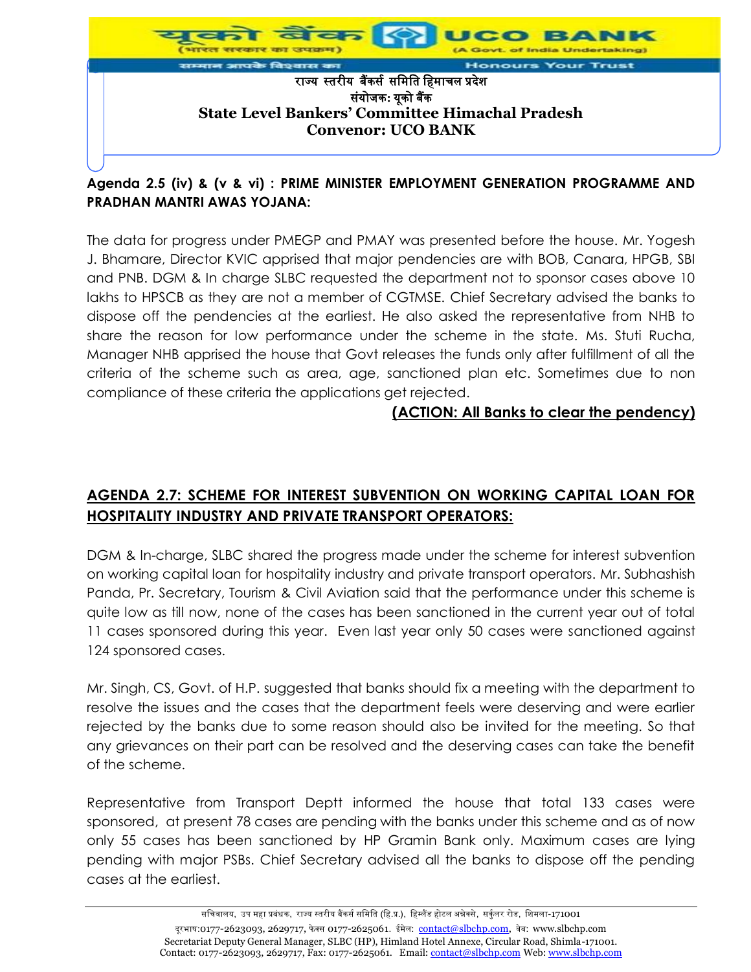

# **Agenda 2.5 (iv) & (v & vi) : PRIME MINISTER EMPLOYMENT GENERATION PROGRAMME AND PRADHAN MANTRI AWAS YOJANA:**

The data for progress under PMEGP and PMAY was presented before the house. Mr. Yogesh J. Bhamare, Director KVIC apprised that major pendencies are with BOB, Canara, HPGB, SBI and PNB. DGM & In charge SLBC requested the department not to sponsor cases above 10 lakhs to HPSCB as they are not a member of CGTMSE. Chief Secretary advised the banks to dispose off the pendencies at the earliest. He also asked the representative from NHB to share the reason for low performance under the scheme in the state. Ms. Stuti Rucha, Manager NHB apprised the house that Govt releases the funds only after fulfillment of all the criteria of the scheme such as area, age, sanctioned plan etc. Sometimes due to non compliance of these criteria the applications get rejected.

# **(ACTION: All Banks to clear the pendency)**

# **AGENDA 2.7: SCHEME FOR INTEREST SUBVENTION ON WORKING CAPITAL LOAN FOR HOSPITALITY INDUSTRY AND PRIVATE TRANSPORT OPERATORS:**

DGM & In-charge, SLBC shared the progress made under the scheme for interest subvention on working capital loan for hospitality industry and private transport operators. Mr. Subhashish Panda, Pr. Secretary, Tourism & Civil Aviation said that the performance under this scheme is quite low as till now, none of the cases has been sanctioned in the current year out of total 11 cases sponsored during this year. Even last year only 50 cases were sanctioned against 124 sponsored cases.

Mr. Singh, CS, Govt. of H.P. suggested that banks should fix a meeting with the department to resolve the issues and the cases that the department feels were deserving and were earlier rejected by the banks due to some reason should also be invited for the meeting. So that any grievances on their part can be resolved and the deserving cases can take the benefit of the scheme.

Representative from Transport Deptt informed the house that total 133 cases were sponsored, at present 78 cases are pending with the banks under this scheme and as of now only 55 cases has been sanctioned by HP Gramin Bank only. Maximum cases are lying pending with major PSBs. Chief Secretary advised all the banks to dispose off the pending cases at the earliest.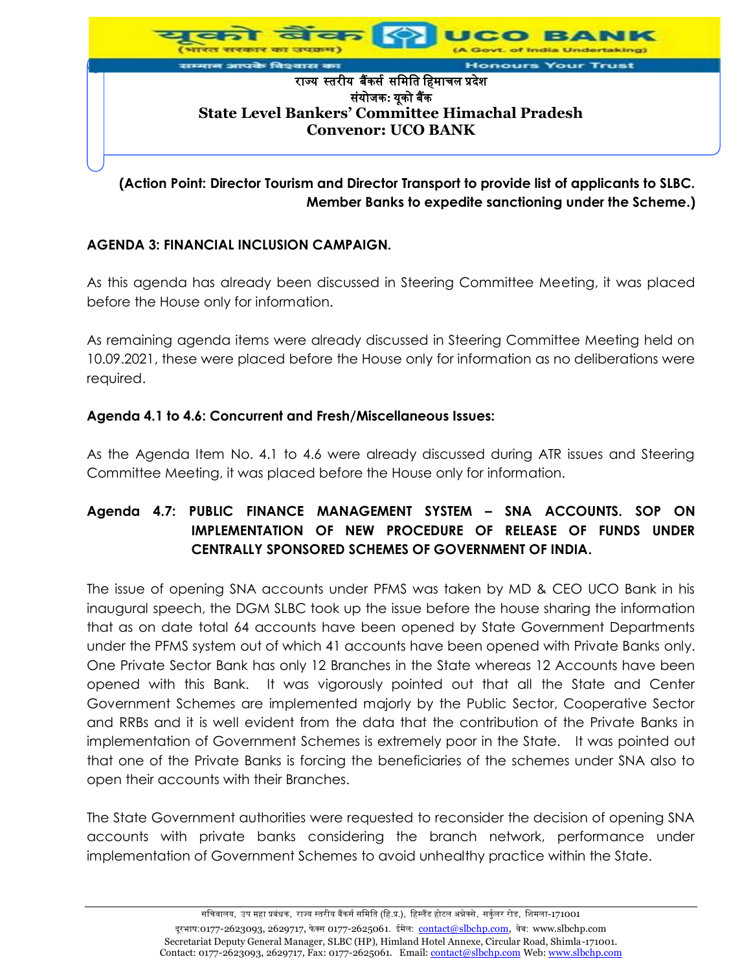

# **(Action Point: Director Tourism and Director Transport to provide list of applicants to SLBC. Member Banks to expedite sanctioning under the Scheme.)**

## **AGENDA 3: FINANCIAL INCLUSION CAMPAIGN.**

As this agenda has already been discussed in Steering Committee Meeting, it was placed before the House only for information.

As remaining agenda items were already discussed in Steering Committee Meeting held on 10.09.2021, these were placed before the House only for information as no deliberations were required.

#### **Agenda 4.1 to 4.6: Concurrent and Fresh/Miscellaneous Issues:**

As the Agenda Item No. 4.1 to 4.6 were already discussed during ATR issues and Steering Committee Meeting, it was placed before the House only for information.

# **Agenda 4.7: PUBLIC FINANCE MANAGEMENT SYSTEM – SNA ACCOUNTS. SOP ON IMPLEMENTATION OF NEW PROCEDURE OF RELEASE OF FUNDS UNDER CENTRALLY SPONSORED SCHEMES OF GOVERNMENT OF INDIA.**

The issue of opening SNA accounts under PFMS was taken by MD & CEO UCO Bank in his inaugural speech, the DGM SLBC took up the issue before the house sharing the information that as on date total 64 accounts have been opened by State Government Departments under the PFMS system out of which 41 accounts have been opened with Private Banks only. One Private Sector Bank has only 12 Branches in the State whereas 12 Accounts have been opened with this Bank. It was vigorously pointed out that all the State and Center Government Schemes are implemented majorly by the Public Sector, Cooperative Sector and RRBs and it is well evident from the data that the contribution of the Private Banks in implementation of Government Schemes is extremely poor in the State. It was pointed out that one of the Private Banks is forcing the beneficiaries of the schemes under SNA also to open their accounts with their Branches.

The State Government authorities were requested to reconsider the decision of opening SNA accounts with private banks considering the branch network, performance under implementation of Government Schemes to avoid unhealthy practice within the State.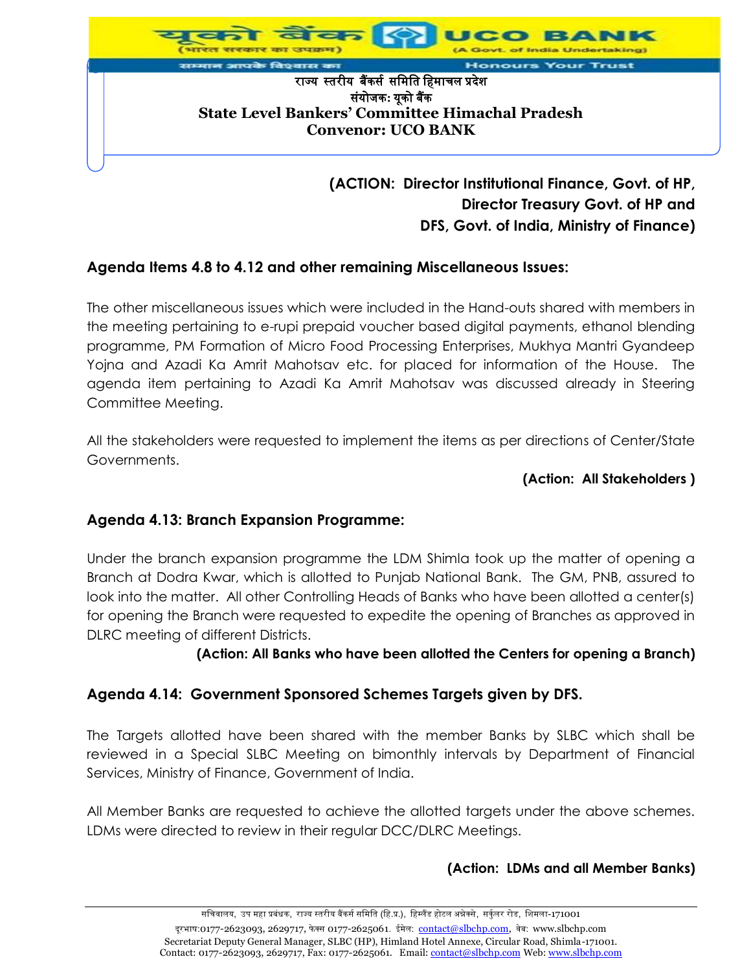

# **Director Treasury Govt. of HP and DFS, Govt. of India, Ministry of Finance)**

# **Agenda Items 4.8 to 4.12 and other remaining Miscellaneous Issues:**

The other miscellaneous issues which were included in the Hand-outs shared with members in the meeting pertaining to e-rupi prepaid voucher based digital payments, ethanol blending programme, PM Formation of Micro Food Processing Enterprises, Mukhya Mantri Gyandeep Yojna and Azadi Ka Amrit Mahotsav etc. for placed for information of the House. The agenda item pertaining to Azadi Ka Amrit Mahotsav was discussed already in Steering Committee Meeting.

All the stakeholders were requested to implement the items as per directions of Center/State Governments.

#### **(Action: All Stakeholders )**

# **Agenda 4.13: Branch Expansion Programme:**

Under the branch expansion programme the LDM Shimla took up the matter of opening a Branch at Dodra Kwar, which is allotted to Punjab National Bank. The GM, PNB, assured to look into the matter. All other Controlling Heads of Banks who have been allotted a center(s) for opening the Branch were requested to expedite the opening of Branches as approved in DLRC meeting of different Districts.

## **(Action: All Banks who have been allotted the Centers for opening a Branch)**

## **Agenda 4.14: Government Sponsored Schemes Targets given by DFS.**

The Targets allotted have been shared with the member Banks by SLBC which shall be reviewed in a Special SLBC Meeting on bimonthly intervals by Department of Financial Services, Ministry of Finance, Government of India.

All Member Banks are requested to achieve the allotted targets under the above schemes. LDMs were directed to review in their regular DCC/DLRC Meetings.

## **(Action: LDMs and all Member Banks)**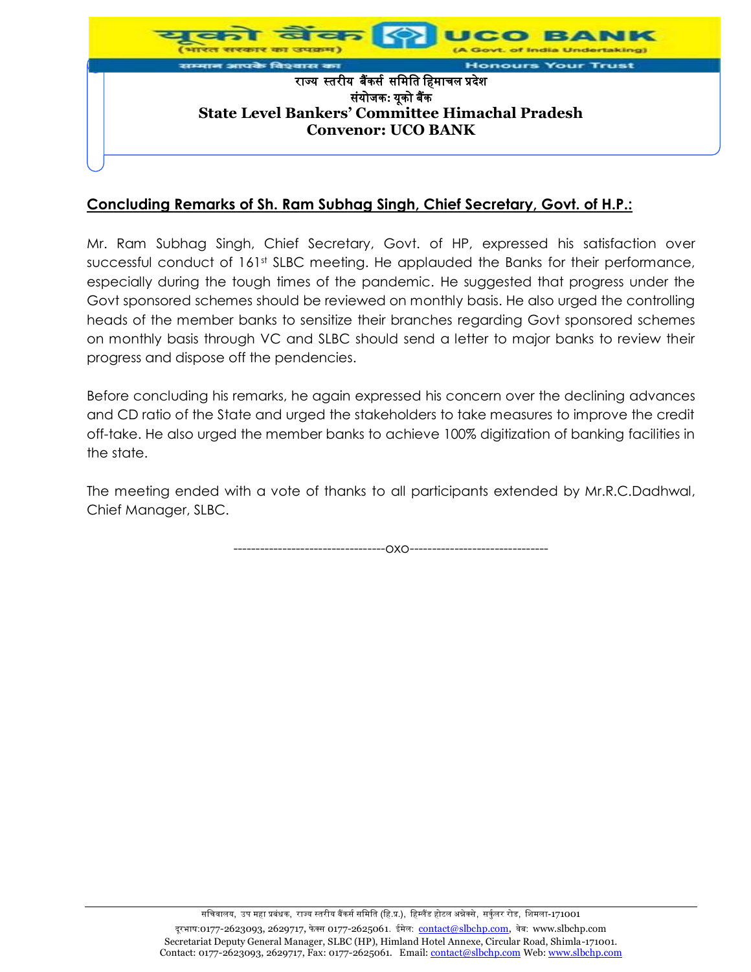

# **Concluding Remarks of Sh. Ram Subhag Singh, Chief Secretary, Govt. of H.P.:**

Mr. Ram Subhag Singh, Chief Secretary, Govt. of HP, expressed his satisfaction over successful conduct of 161st SLBC meeting. He applauded the Banks for their performance, especially during the tough times of the pandemic. He suggested that progress under the Govt sponsored schemes should be reviewed on monthly basis. He also urged the controlling heads of the member banks to sensitize their branches regarding Govt sponsored schemes on monthly basis through VC and SLBC should send a letter to major banks to review their progress and dispose off the pendencies.

Before concluding his remarks, he again expressed his concern over the declining advances and CD ratio of the State and urged the stakeholders to take measures to improve the credit off-take. He also urged the member banks to achieve 100% digitization of banking facilities in the state.

The meeting ended with a vote of thanks to all participants extended by Mr.R.C.Dadhwal, Chief Manager, SLBC.

----------------------------------oxo-------------------------------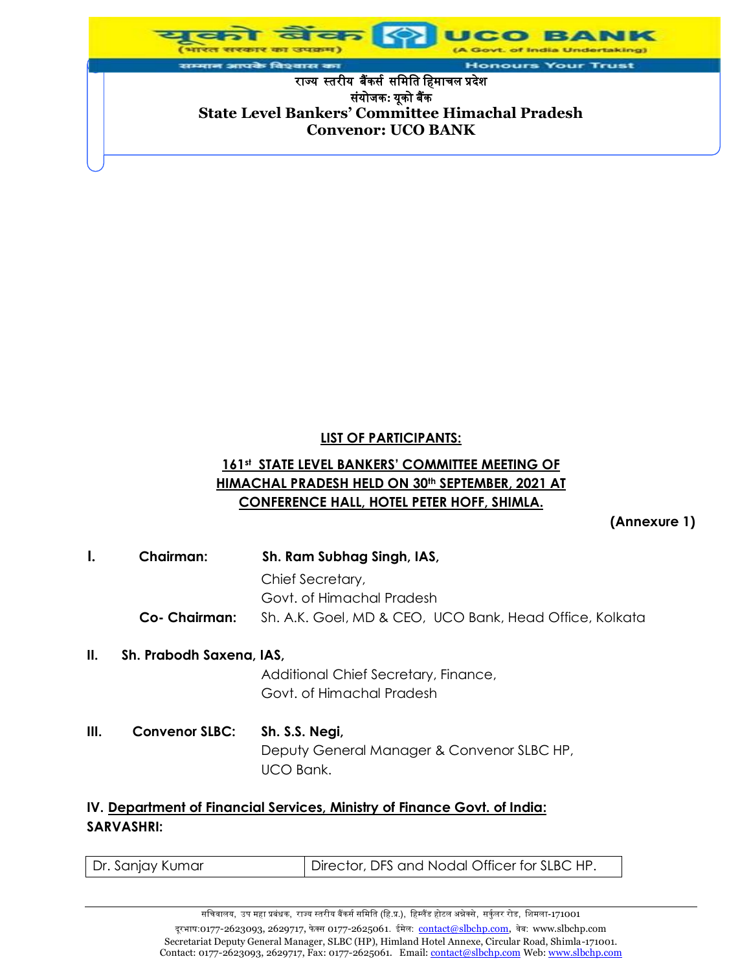

#### **LIST OF PARTICIPANTS:**

# **161 st STATE LEVEL BANKERS' COMMITTEE MEETING OF HIMACHAL PRADESH HELD ON 30th SEPTEMBER, 2021 AT CONFERENCE HALL, HOTEL PETER HOFF, SHIMLA.**

**(Annexure 1)**

| I. | <b>Chairman:</b>         | Sh. Ram Subhag Singh, IAS,                                                |
|----|--------------------------|---------------------------------------------------------------------------|
|    |                          | Chief Secretary,                                                          |
|    |                          | Govt. of Himachal Pradesh                                                 |
|    | <b>Co- Chairman:</b>     | Sh. A.K. Goel, MD & CEO, UCO Bank, Head Office, Kolkata                   |
| Ш. | Sh. Prabodh Saxena, IAS, |                                                                           |
|    |                          | Additional Chief Secretary, Finance,                                      |
|    |                          | Govt. of Himachal Pradesh                                                 |
| Ш. | <b>Convenor SLBC:</b>    | Sh. S.S. Negi,                                                            |
|    |                          | Deputy General Manager & Convenor SLBC HP,                                |
|    |                          | UCO Bank.                                                                 |
|    |                          |                                                                           |
|    |                          | IV. Department of Financial Services. Ministry of Finance Goyt, of India: |

#### **IV. Department of Financial Services, Ministry of Finance Govt. of India: SARVASHRI:**

| Director, DFS and Nodal Officer for SLBC HP.<br>Dr. Sanjay Kumar |
|------------------------------------------------------------------|
|------------------------------------------------------------------|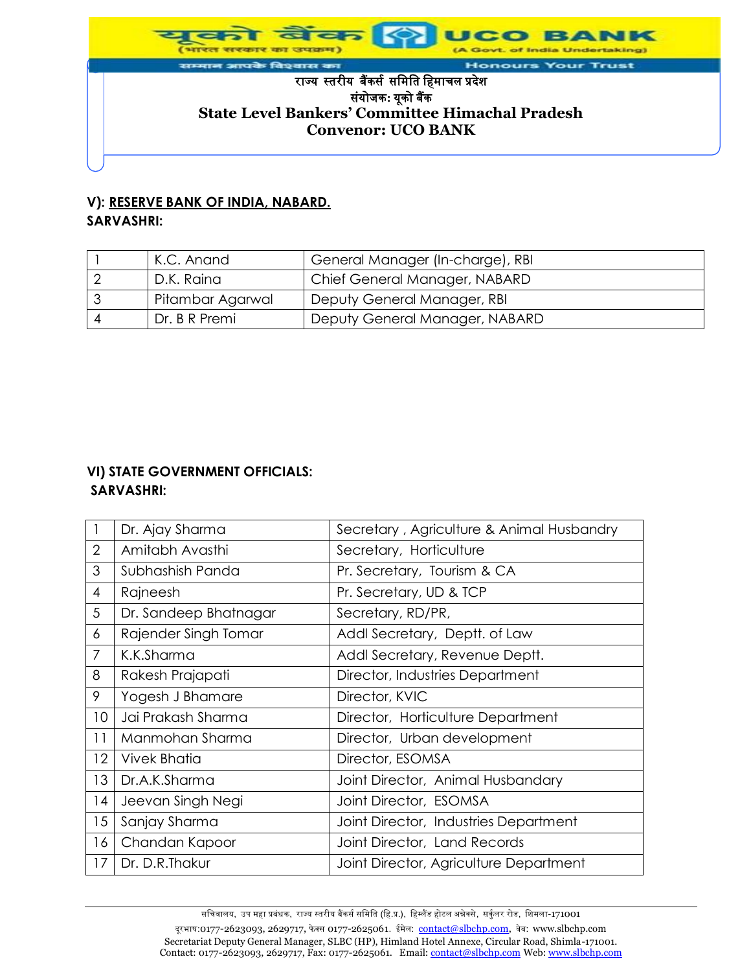जयक्षम of India Undertaking) आपके विश्वास का **Honours Your Trust** राज्यस्तरीयबैंकर्स र्मिमत मििाचल प्रदेश र्ंयोजक**:** यूको बैंक **State Level Bankers' Committee Himachal Pradesh Convenor: UCO BANK**

#### **V): RESERVE BANK OF INDIA, NABARD. SARVASHRI:**

| K.C. Anand       | General Manager (In-charge), RBI |
|------------------|----------------------------------|
| D.K. Raina       | Chief General Manager, NABARD    |
| Pitambar Agarwal | Deputy General Manager, RBI      |
| Dr. B R Premi    | Deputy General Manager, NABARD   |

#### **VI) STATE GOVERNMENT OFFICIALS: SARVASHRI:**

|                | Dr. Ajay Sharma       | Secretary, Agriculture & Animal Husbandry |
|----------------|-----------------------|-------------------------------------------|
| $\overline{2}$ | Amitabh Avasthi       | Secretary, Horticulture                   |
| 3              | Subhashish Panda      | Pr. Secretary, Tourism & CA               |
| $\overline{4}$ | Rajneesh              | Pr. Secretary, UD & TCP                   |
| 5              | Dr. Sandeep Bhatnagar | Secretary, RD/PR,                         |
| 6              | Rajender Singh Tomar  | Addl Secretary, Deptt. of Law             |
| $\overline{7}$ | K.K.Sharma            | Addl Secretary, Revenue Deptt.            |
| 8              | Rakesh Prajapati      | Director, Industries Department           |
| 9              | Yogesh J Bhamare      | Director, KVIC                            |
| 10             | Jai Prakash Sharma    | Director, Horticulture Department         |
| 11             | Manmohan Sharma       | Director, Urban development               |
| 12             | <b>Vivek Bhatia</b>   | Director, ESOMSA                          |
| 13             | Dr.A.K.Sharma         | Joint Director, Animal Husbandary         |
| 14             | Jeevan Singh Negi     | Joint Director, ESOMSA                    |
| 15             | Sanjay Sharma         | Joint Director, Industries Department     |
| 16             | Chandan Kapoor        | Joint Director, Land Records              |
| 17             | Dr. D.R. Thakur       | Joint Director, Agriculture Department    |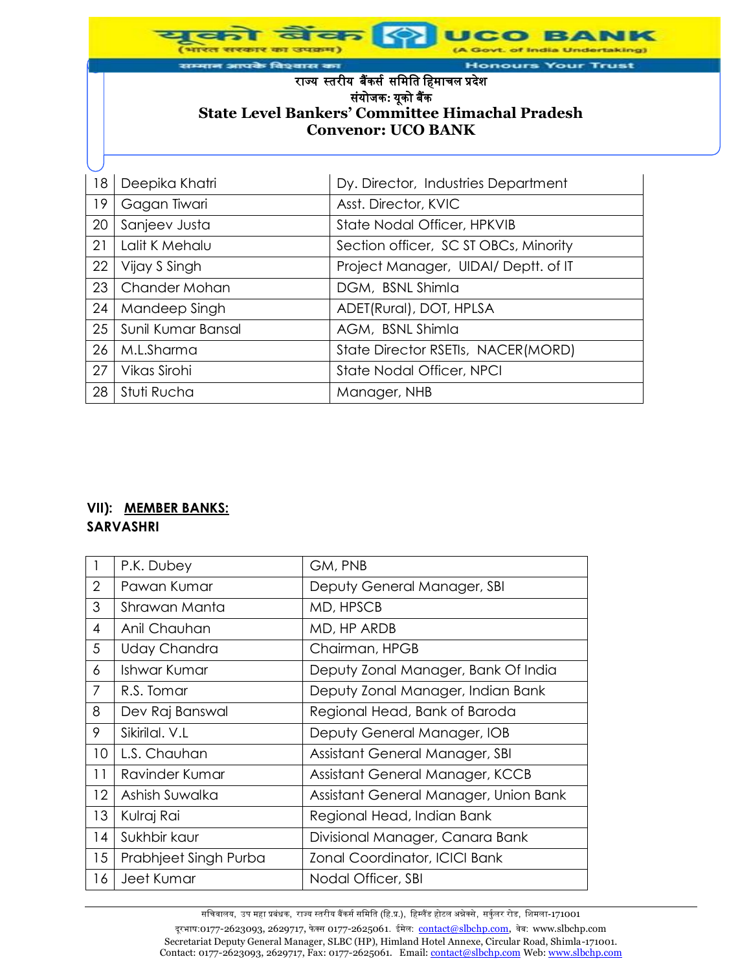|    | राम्मान आपके विश्वास का<br><b>Honours Your Trust</b>                                                                                                 |                                       |  |  |  |  |
|----|------------------------------------------------------------------------------------------------------------------------------------------------------|---------------------------------------|--|--|--|--|
|    | राज्य स्तरीय बैंकर्स समिति हिमाचल प्रदेश<br>संयोजक: यूको बैंक<br><b>State Level Bankers' Committee Himachal Pradesh</b><br><b>Convenor: UCO BANK</b> |                                       |  |  |  |  |
|    |                                                                                                                                                      |                                       |  |  |  |  |
| 18 | Deepika Khatri                                                                                                                                       | Dy. Director, Industries Department   |  |  |  |  |
| 19 | Gagan Tiwari                                                                                                                                         | Asst. Director, KVIC                  |  |  |  |  |
| 20 | Sanjeev Justa                                                                                                                                        | State Nodal Officer, HPKVIB           |  |  |  |  |
| 21 | Lalit K Mehalu                                                                                                                                       | Section officer, SC ST OBCs, Minority |  |  |  |  |
| 22 | Vijay S Singh                                                                                                                                        | Project Manager, UIDAI/ Deptt. of IT  |  |  |  |  |
| 23 | Chander Mohan                                                                                                                                        | DGM, BSNL Shimla                      |  |  |  |  |
| 24 | Mandeep Singh                                                                                                                                        | ADET(Rural), DOT, HPLSA               |  |  |  |  |
| 25 | Sunil Kumar Bansal                                                                                                                                   | AGM, BSNL Shimla                      |  |  |  |  |
| 26 | M.L.Sharma                                                                                                                                           | State Director RSETIs, NACER(MORD)    |  |  |  |  |
| 27 | Vikas Sirohi                                                                                                                                         | <b>State Nodal Officer, NPCI</b>      |  |  |  |  |
| 28 | Stuti Rucha                                                                                                                                          | Manager, NHB                          |  |  |  |  |

#### **VII): MEMBER BANKS: SARVASHRI**

|                | P.K. Dubey            | GM, PNB                               |
|----------------|-----------------------|---------------------------------------|
| $\overline{2}$ | Pawan Kumar           | Deputy General Manager, SBI           |
| 3              | Shrawan Manta         | MD, HPSCB                             |
| 4              | Anil Chauhan          | MD, HP ARDB                           |
| 5              | <b>Uday Chandra</b>   | Chairman, HPGB                        |
| 6              | Ishwar Kumar          | Deputy Zonal Manager, Bank Of India   |
| $\overline{7}$ | R.S. Tomar            | Deputy Zonal Manager, Indian Bank     |
| 8              | Dev Raj Banswal       | Regional Head, Bank of Baroda         |
| 9              | Sikirilal. V.L        | Deputy General Manager, IOB           |
| 10             | L.S. Chauhan          | Assistant General Manager, SBI        |
| 11             | Ravinder Kumar        | Assistant General Manager, KCCB       |
| 12             | Ashish Suwalka        | Assistant General Manager, Union Bank |
| 13             | Kulraj Rai            | Regional Head, Indian Bank            |
| 14             | Sukhbir kaur          | Divisional Manager, Canara Bank       |
| 15             | Prabhjeet Singh Purba | Zonal Coordinator, ICICI Bank         |
| 16             | Jeet Kumar            | Nodal Officer, SBI                    |

सचिवालय, उप महा प्रबंधक, राज्य स्तरीय बैंकर्स समिति (हि.प्र.), हिम्लैंड होटल अन्नेक्से, सर्कुलर रोड, शिमला-171001 दूरभाष:0177-2623093, 2629717, फेक्स 0177-2625061. ईमेल: contact@slbchp.com, वेब: www.slbchp.com Secretariat Deputy General Manager, SLBC (HP), Himland Hotel Annexe, Circular Road, Shimla-171001. Contact: 0177-2623093, 2629717, Fax: 0177-2625061. Email: <u>contact@slbchp.com</u> Web: www.slbchp.com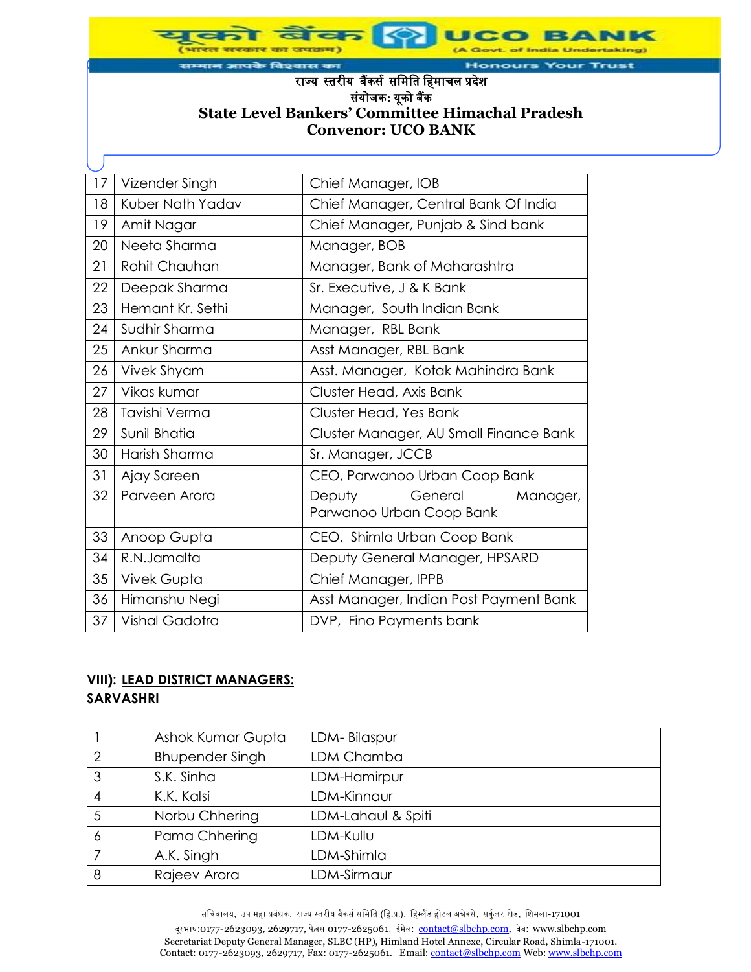आपके विश्वास का **Honours Your Trust** राज्यस्तरीयबैंकर्स र्मिमत मििाचल प्रदेश र्ंयोजक**:** यूको बैंक **State Level Bankers' Committee Himachal Pradesh Convenor: UCO BANK**

of India Undertaking)

*<u>जम्बद्धालय</u>* 

| 17 | Vizender Singh        | Chief Manager, IOB                                        |
|----|-----------------------|-----------------------------------------------------------|
| 18 | Kuber Nath Yadav      | Chief Manager, Central Bank Of India                      |
| 19 | Amit Nagar            | Chief Manager, Punjab & Sind bank                         |
| 20 | Neeta Sharma          | Manager, BOB                                              |
| 21 | Rohit Chauhan         | Manager, Bank of Maharashtra                              |
| 22 | Deepak Sharma         | Sr. Executive, J & K Bank                                 |
| 23 | Hemant Kr. Sethi      | Manager, South Indian Bank                                |
| 24 | Sudhir Sharma         | Manager, RBL Bank                                         |
| 25 | Ankur Sharma          | Asst Manager, RBL Bank                                    |
| 26 | Vivek Shyam           | Asst. Manager, Kotak Mahindra Bank                        |
| 27 | Vikas kumar           | Cluster Head, Axis Bank                                   |
| 28 | Tavishi Verma         | Cluster Head, Yes Bank                                    |
| 29 | Sunil Bhatia          | Cluster Manager, AU Small Finance Bank                    |
| 30 | Harish Sharma         | Sr. Manager, JCCB                                         |
| 31 | Ajay Sareen           | CEO, Parwanoo Urban Coop Bank                             |
| 32 | Parveen Arora         | Deputy<br>General<br>Manager,<br>Parwanoo Urban Coop Bank |
| 33 | Anoop Gupta           | CEO, Shimla Urban Coop Bank                               |
| 34 | R.N.Jamalta           | Deputy General Manager, HPSARD                            |
| 35 | Vivek Gupta           | Chief Manager, IPPB                                       |
| 36 | Himanshu Negi         | Asst Manager, Indian Post Payment Bank                    |
| 37 | <b>Vishal Gadotra</b> | DVP, Fino Payments bank                                   |
|    |                       |                                                           |

#### **VIII): LEAD DISTRICT MANAGERS: SARVASHRI**

|                | Ashok Kumar Gupta      | LDM-Bilaspur       |
|----------------|------------------------|--------------------|
| $\overline{2}$ | <b>Bhupender Singh</b> | LDM Chamba         |
| 3              | S.K. Sinha             | LDM-Hamirpur       |
| 4              | K.K. Kalsi             | LDM-Kinnaur        |
| 5              | Norbu Chhering         | LDM-Lahaul & Spiti |
| 6              | Pama Chhering          | LDM-Kullu          |
|                | A.K. Singh             | LDM-Shimla         |
| 8              | Rajeev Arora           | LDM-Sirmaur        |

सचिवालय, उप महा प्रबंधक, राज्य स्तरीय बैंकर्स समिति (हि.प्र.), हिम्लैंड होटल अन्नेक्से, सर्कुलर रोड, शिमला-171001 दूरभाष:0177-2623093, 2629717, फेक्स 0177-2625061. ईमेल: contact@slbchp.com, वेब: www.slbchp.com Secretariat Deputy General Manager, SLBC (HP), Himland Hotel Annexe, Circular Road, Shimla-171001. Contact: 0177-2623093, 2629717, Fax: 0177-2625061. Email: contact@slbchp.com Web: www.slbchp.com